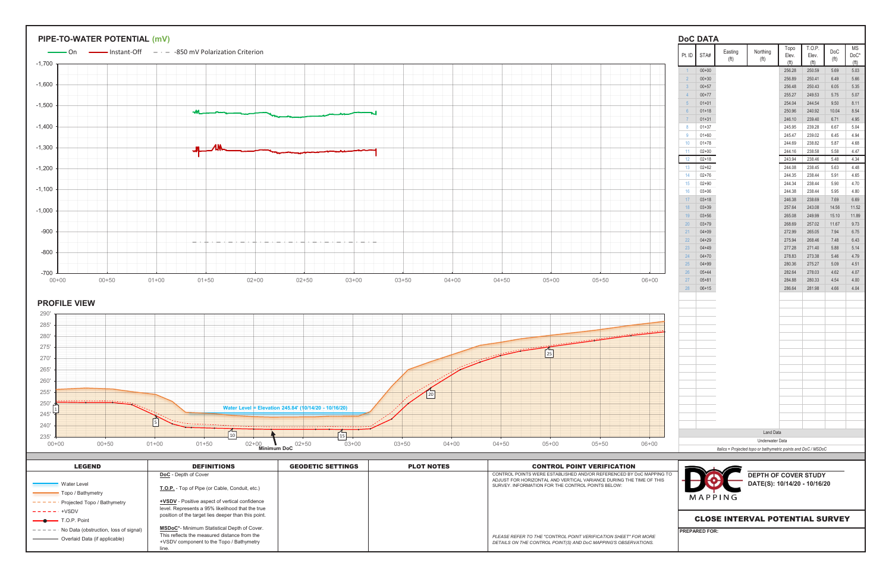|                | <b>DoC DATA</b>        |                              |                                                                                                       |                  |                  |                                 |                |
|----------------|------------------------|------------------------------|-------------------------------------------------------------------------------------------------------|------------------|------------------|---------------------------------|----------------|
| Pt. ID         | STA#                   | Easting<br>(f <sup>t</sup> ) | Northing<br>(f <sup>t</sup> )                                                                         | Topo<br>Elev.    | T.O.P.<br>Elev.  | <b>DoC</b><br>(f <sup>t</sup> ) | MS<br>DoC*     |
| $\overline{1}$ | $00 + 00$              |                              |                                                                                                       | (ft)<br>256.28   | (ft)<br>250.59   | 5.69                            | (ft)<br>5.03   |
| $\overline{2}$ | $00 + 30$              |                              |                                                                                                       | 256.89           | 250.41           | 6.49                            | 5.66           |
| 3              | $00 + 57$              |                              |                                                                                                       | 256.48           | 250.43           | 6.05                            | 5.35           |
| $\overline{4}$ | $00 + 77$              |                              |                                                                                                       | 255.27           | 249.53           | 5.75                            | 5.07           |
| 5              | $01 + 01$              |                              |                                                                                                       | 254.04           | 244.54           | 9.50                            | 8.11           |
| $6\phantom{1}$ | $01 + 18$              |                              |                                                                                                       | 250.96           | 240.92           | 10.04                           | 8.54           |
| $\overline{7}$ | $01 + 31$              |                              |                                                                                                       | 246.10<br>245.95 | 239.40           | 6.71                            | 4.95           |
| 8<br>9         | $01 + 37$<br>$01 + 60$ |                              |                                                                                                       | 245.47           | 239.28<br>239.02 | 6.67<br>6.45                    | 5.04<br>4.94   |
| 10             | $01 + 78$              |                              |                                                                                                       | 244.69           | 238.82           | 5.87                            | 4.68           |
| 11             | $02 + 00$              |                              |                                                                                                       | 244.16           | 238.58           | 5.58                            | 4.47           |
| 12             | $02 + 18$              |                              |                                                                                                       | 243.94           | 238.46           | 5.48                            | 4.34           |
| 13             | $02 + 62$              |                              |                                                                                                       | 244.08           | 238.45           | 5.63                            | 4.48           |
| 14             | $02 + 76$              |                              |                                                                                                       | 244.35           | 238.44           | 5.91                            | 4.65           |
| 15             | $02 + 90$              |                              |                                                                                                       | 244.34           | 238.44           | 5.90                            | 4.70           |
| 16             | $03 + 06$              |                              |                                                                                                       | 244.38           | 238.44           | 5.95                            | 4.80           |
| 17             | $03 + 18$              |                              |                                                                                                       | 246.38           | 238.69           | 7.69                            | 6.69           |
| 18<br>19       | $03 + 39$<br>$03 + 56$ |                              |                                                                                                       | 257.64<br>265.08 | 243.08<br>249.99 | 14.56<br>15.10                  | 11.52<br>11.89 |
| 20             | $03 + 79$              |                              |                                                                                                       | 268.69           | 257.02           | 11.67                           | 9.73           |
| 21             | $04 + 09$              |                              |                                                                                                       | 272.99           | 265.05           | 7.94                            | 6.75           |
| 22             | $04 + 29$              |                              |                                                                                                       | 275.94           | 268.46           | 7.48                            | 6.43           |
| 23             | $04 + 49$              |                              |                                                                                                       | 277.28           | 271.40           | 5.88                            | 5.14           |
| 24             | $04 + 70$              |                              |                                                                                                       | 278.83           | 273.38           | 5.46                            | 4.79           |
| 25             | $04 + 99$              |                              |                                                                                                       | 280.36           | 275.27           | 5.09                            | 4.51           |
| 26             | $05 + 44$              |                              |                                                                                                       | 282.64           | 278.03           | 4.62                            | 4.07           |
| 27<br>28       | $05 + 81$<br>$06 + 15$ |                              |                                                                                                       | 284.88<br>286.64 | 280.33<br>281.98 | 4.54<br>4.66                    | 4.00<br>4.04   |
|                |                        |                              | <b>Land Data</b><br>Underwater Data<br>Italics = Projected topo or bathymetric points and DoC / MSDoC |                  |                  |                                 |                |
|                |                        | MAPPING                      | <b>DEPTH OF COVER STUDY</b><br>DATE(S): 10/14/20 - 10/16/20                                           |                  |                  |                                 |                |
|                |                        |                              | <b>CLOSE INTERVAL POTENTIAL SURVEY</b>                                                                |                  |                  |                                 |                |

 $250'$ 255' 260' 265'

| <b>LEGEND</b>                         | <b>DEFINITIONS</b>                                    | <b>GEODETIC SETTINGS</b> | <b>PLOT NOTES</b> | <b>CONTROL POINT VERIFICATION</b>                                                                                        |                                        |
|---------------------------------------|-------------------------------------------------------|--------------------------|-------------------|--------------------------------------------------------------------------------------------------------------------------|----------------------------------------|
|                                       | <b>DoC</b> - Depth of Cover                           |                          |                   | CONTROL POINTS WERE ESTABLISHED AND/OR REFERENCED BY DoC MAPPING TO                                                      | <b>DEPTH OF COVER STUDY</b>            |
| Water Level                           | T.O.P. - Top of Pipe (or Cable, Conduit, etc.)        |                          |                   | ADJUST FOR HORIZONTAL AND VERTICAL VARIANCE DURING THE TIME OF THIS<br>SURVEY. INFORMATION FOR THE CONTROL POINTS BELOW: | DATE(S): 10/14/20 - 10/16/20           |
| - Topo / Bathymetry                   |                                                       |                          |                   |                                                                                                                          |                                        |
| Projected Topo / Bathymetry           | <b>+VSDV</b> - Positive aspect of vertical confidence |                          |                   |                                                                                                                          | MAPPING                                |
| $- - - - - - +$ VSDV                  | level. Represents a 95% likelihood that the true      |                          |                   |                                                                                                                          |                                        |
| $\longrightarrow$ T.O.P. Point        | position of the target lies deeper than this point.   |                          |                   |                                                                                                                          | <b>CLOSE INTERVAL POTENTIAL SURVEY</b> |
| No Data (obstruction, loss of signal) | <b>MSDoC*-</b> Minimum Statistical Depth of Cover.    |                          |                   |                                                                                                                          | <b>IPREPARED FOR:</b>                  |
| Overlaid Data (if applicable)         | This reflects the measured distance from the          |                          |                   | PLEASE REFER TO THE "CONTROL POINT VERIFICATION SHEET" FOR MORE                                                          |                                        |
|                                       | +VSDV component to the Topo / Bathymetry              |                          |                   | DETAILS ON THE CONTROL POINT(S) AND DoC MAPPING'S OBSERVATIONS.                                                          |                                        |
|                                       | line.                                                 |                          |                   |                                                                                                                          |                                        |

240'

 $235'$ <br> $00+00$ 

 $\vert$ <sub>5</sub> $\vert$ 

**Water Level = Elevation 245.84' (10/14/20 - 10/16/20)**

 $245'$   $\frac{11}{1}$ 



00+00 00+50 01+00 01+50 02+00 02+50 03+00 03+50 04+00 04+50 05+00 05+50 06+00 **Minimum DoC**

 $\boxed{20}$ 

 $\sim$  15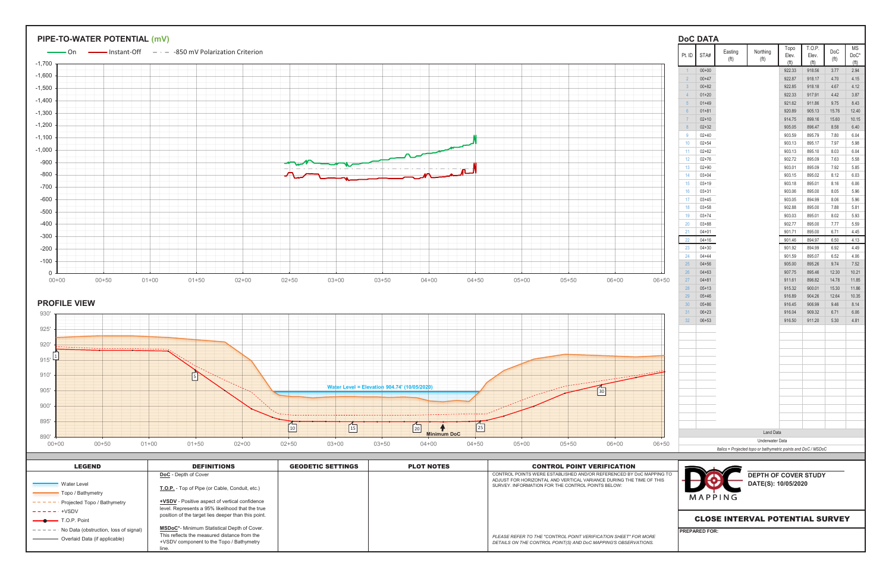| Pt. ID         | STA#                   | Easting           | Northing                                                       | Topo<br>Elev.    | T.O.P.<br>Elev.  | DoC          | <b>MS</b><br>$DoC*$ |
|----------------|------------------------|-------------------|----------------------------------------------------------------|------------------|------------------|--------------|---------------------|
|                |                        | (f <sup>t</sup> ) | (f <sup>t</sup> )                                              | (ft)             | (ft)             | (ft)         |                     |
| $\overline{1}$ | $00 + 00$              |                   |                                                                | 922.33           | 918.56           | 3.77         | 2.94                |
| $\overline{2}$ | $00 + 47$              |                   |                                                                | 922.87           | 918.17           | 4.70         | 4.15                |
| $\mathbf{3}$   | $00 + 82$              |                   |                                                                | 922.85           | 918.18           | 4.67         | 4.12                |
| $\overline{4}$ | $01 + 20$              |                   |                                                                | 922.33           | 917.91           | 4.42         | 3.87                |
| 5              | $01 + 49$              |                   |                                                                | 921.62           | 911.86           | 9.75         | 8.43                |
| $6\phantom{1}$ | $01 + 81$              |                   |                                                                | 920.89           | 905.13           | 15.76        | 12.40               |
| $\overline{7}$ | $02 + 10$              |                   |                                                                | 914.75           | 899.16           | 15.60        | 10.15<br>6.40       |
| $\bf 8$        | $02 + 32$              |                   |                                                                | 905.05           | 896.47           | 8.58         | 6.04                |
| 9              | $02 + 40$              |                   |                                                                | 903.59           | 895.79           | 7.80         |                     |
| 10             | $02 + 54$              |                   |                                                                | 903.13           | 895.17           | 7.97         | 5.98<br>6.04        |
| 11             | $02 + 62$              |                   |                                                                | 903.13           | 895.10           | 8.03         | 5.58                |
| 12             | $02 + 76$              |                   |                                                                | 902.72           | 895.09           | 7.63         |                     |
| 13             | $02 + 90$              |                   |                                                                | 903.01           | 895.09           | 7.92         |                     |
| 14             | $03 + 04$              |                   |                                                                | 903.15           | 895.02           | 8.12         |                     |
| 15             | $03 + 19$              |                   |                                                                | 903.18           | 895.01           | 8.16         |                     |
| 16             | $03 + 31$              |                   |                                                                | 903.06           | 895.00           | 8.05         |                     |
| 17             | $03 + 45$              |                   |                                                                | 903.05           | 894.99           | 8.06         |                     |
| 18             | $03 + 58$<br>$03 + 74$ |                   |                                                                | 902.88           | 895.00           | 7.88         |                     |
| 19             |                        |                   |                                                                | 903.03<br>902.77 | 895.01           | 8.02         |                     |
| 20<br>21       | $03 + 88$<br>$04 + 01$ |                   |                                                                | 901.71           | 895.00<br>895.00 | 7.77<br>6.71 | 4.45                |
|                | $04 + 16$              |                   |                                                                |                  |                  |              | 4.13                |
| 22<br>23       | $04 + 30$              |                   |                                                                | 901.46<br>901.92 | 894.97<br>894.99 | 6.50<br>6.92 |                     |
| 24             | $04 + 44$              |                   |                                                                | 901.59           | 895.07           | 6.52         |                     |
| 25             | $04 + 56$              |                   |                                                                | 905.00           | 895.26           | 9.74         | 4.06                |
| 26             | $04 + 63$              |                   |                                                                | 907.75           | 895.46           | 12.30        | 10.21               |
| 27             | $04 + 81$              |                   |                                                                | 911.61           | 896.82           | 14.78        | 11.85               |
| 28             | $05 + 13$              |                   |                                                                | 915.32           | 900.01           | 15.30        | 11.86               |
| 29             | $05 + 46$              |                   |                                                                | 916.89           | 904.26           | 12.64        | 10.35               |
| 30             | $05 + 86$              |                   |                                                                | 916.45           | 906.99           | 9.46         |                     |
| 31             | $06 + 23$              |                   |                                                                | 916.04           | 909.32           | 6.71         |                     |
| 32             | $06 + 53$              |                   |                                                                | 916.50           | 911.20           | 5.30         |                     |
|                |                        |                   |                                                                |                  |                  |              |                     |
|                |                        |                   |                                                                |                  |                  |              |                     |
|                |                        |                   |                                                                |                  |                  |              |                     |
|                |                        |                   |                                                                |                  |                  |              |                     |
|                |                        |                   |                                                                |                  |                  |              |                     |
|                |                        |                   |                                                                |                  |                  |              |                     |
|                |                        |                   |                                                                |                  |                  |              |                     |
|                |                        |                   | <b>Land Data</b>                                               |                  |                  |              |                     |
|                |                        |                   | Underwater Data                                                |                  |                  |              |                     |
|                |                        |                   | Italics = Projected topo or bathymetric points and DoC / MSDoC |                  |                  |              |                     |
|                |                        |                   |                                                                |                  |                  |              |                     |
|                |                        |                   | <b>DEPTH OF COVER STUDY</b><br>DATE(S): 10/05/2020             |                  |                  |              |                     |
|                |                        | MAPPING           |                                                                |                  |                  |              |                     |
|                |                        |                   | <b>CLOSE INTERVAL POTENTIAL SURVEY</b>                         |                  |                  |              |                     |
|                |                        |                   |                                                                |                  |                  |              |                     |
|                | <b>PREPARED FOR:</b>   |                   |                                                                |                  |                  |              |                     |

| <b>LEGEND</b>                         | <b>DEFINITIONS</b>                                    | <b>GEODETIC SETTINGS</b> | <b>PLOT NOTES</b> | <b>CONTROL POINT VERIFICATION</b>                                                                                        |
|---------------------------------------|-------------------------------------------------------|--------------------------|-------------------|--------------------------------------------------------------------------------------------------------------------------|
|                                       | <b>DoC</b> - Depth of Cover                           |                          |                   | CONTROL POINTS WERE ESTABLISHED AND/OR REFERENCED BY DoC MAPPING                                                         |
| Water Level                           |                                                       |                          |                   | ADJUST FOR HORIZONTAL AND VERTICAL VARIANCE DURING THE TIME OF THIS<br>SURVEY. INFORMATION FOR THE CONTROL POINTS BELOW: |
| Topo / Bathymetry                     | T.O.P. - Top of Pipe (or Cable, Conduit, etc.)        |                          |                   |                                                                                                                          |
| Projected Topo / Bathymetry           | <b>+VSDV</b> - Positive aspect of vertical confidence |                          |                   |                                                                                                                          |
| $-$ +VSDV                             | level. Represents a 95% likelihood that the true      |                          |                   |                                                                                                                          |
| $\longrightarrow$ T.O.P. Point        | position of the target lies deeper than this point.   |                          |                   |                                                                                                                          |
| No Data (obstruction, loss of signal) | <b>MSDoC*-</b> Minimum Statistical Depth of Cover.    |                          |                   |                                                                                                                          |
| Overlaid Data (if applicable)         | This reflects the measured distance from the          |                          |                   | PLEASE REFER TO THE "CONTROL POINT VERIFICATION SHEET" FOR MORE                                                          |
|                                       | +VSDV component to the Topo / Bathymetry              |                          |                   | DETAILS ON THE CONTROL POINT(S) AND DoC MAPPING'S OBSERVATIONS.                                                          |
|                                       | ine.                                                  |                          |                   |                                                                                                                          |